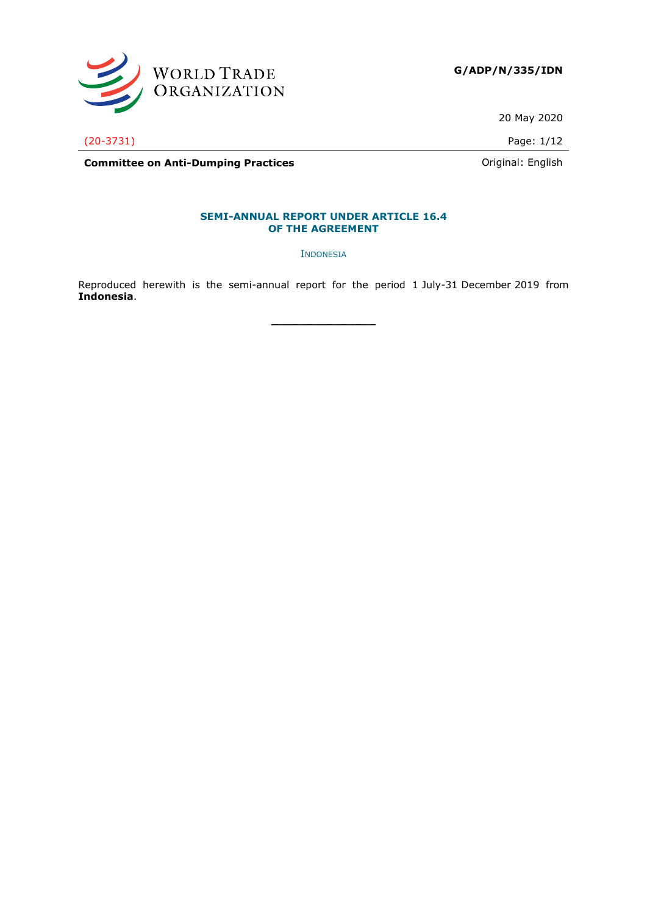

20 May 2020

(20-3731) Page: 1/12

**Committee on Anti-Dumping Practices Committee on Anti-Dumping Practices Committee on Anti-Dumping Practices** 

### **SEMI-ANNUAL REPORT UNDER ARTICLE 16.4 OF THE AGREEMENT**

INDONESIA

Reproduced herewith is the semi-annual report for the period 1 July-31 December 2019 from **Indonesia**.

**\_\_\_\_\_\_\_\_\_\_\_\_\_\_\_**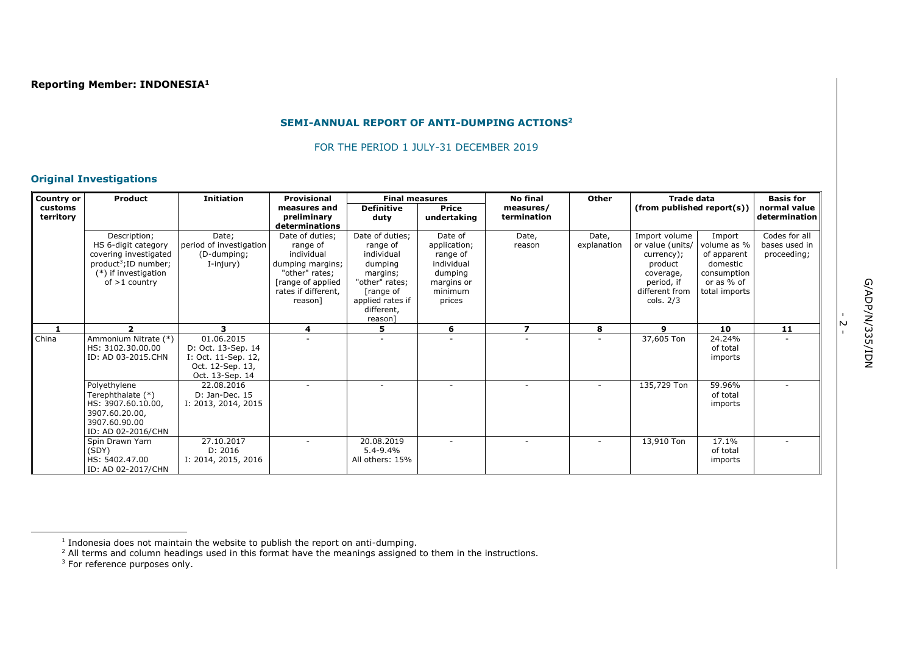## **SEMI-ANNUAL REPORT OF ANTI-DUMPING ACTIONS<sup>2</sup>**

#### FOR THE PERIOD 1 JULY-31 DECEMBER 2019

### **Original Investigations**

| Country or | <b>Product</b>                    | <b>Initiation</b>       | <b>Provisional</b>                      | <b>Final measures</b>         |                          | <b>No final</b>         | Other                    | Trade data                   |               | <b>Basis for</b> |
|------------|-----------------------------------|-------------------------|-----------------------------------------|-------------------------------|--------------------------|-------------------------|--------------------------|------------------------------|---------------|------------------|
| customs    |                                   |                         | measures and                            | <b>Definitive</b>             | <b>Price</b>             | measures/               |                          | (from published report(s))   |               | normal value     |
| territory  |                                   |                         | preliminary                             | duty                          | undertaking              | termination             |                          |                              |               | determination    |
|            |                                   |                         | determinations                          |                               |                          |                         |                          |                              |               |                  |
|            | Description;                      | Date;                   | Date of duties;                         | Date of duties;               | Date of                  | Date,                   | Date,                    | Import volume                | Import        | Codes for all    |
|            | HS 6-digit category               | period of investigation | range of                                | range of                      | application;             | reason                  | explanation              | or value (units/             | volume as %   | bases used in    |
|            | covering investigated             | (D-dumping;             | individual                              | individual                    | range of                 |                         |                          | currency);                   | of apparent   | proceeding;      |
|            | product <sup>3</sup> ; ID number; | I-injury)               | dumping margins;                        | dumping                       | individual               |                         |                          | product                      | domestic      |                  |
|            | (*) if investigation              |                         | "other" rates;                          | margins;                      | dumping                  |                         |                          | coverage,                    | consumption   |                  |
|            | of $>1$ country                   |                         | range of applied<br>rates if different, | "other" rates;                | margins or<br>minimum    |                         |                          | period, if<br>different from | or as % of    |                  |
|            |                                   |                         | reason]                                 | [range of<br>applied rates if | prices                   |                         |                          | cols. $2/3$                  | total imports |                  |
|            |                                   |                         |                                         | different,                    |                          |                         |                          |                              |               |                  |
|            |                                   |                         |                                         | reason                        |                          |                         |                          |                              |               |                  |
| -1         | $\overline{2}$                    | 3                       | 4                                       | 5.                            | 6                        | $\overline{\mathbf{z}}$ | 8                        | 9                            | 10            | 11               |
| China      | Ammonium Nitrate (*)              | 01.06.2015              |                                         |                               |                          |                         |                          | 37,605 Ton                   | 24.24%        |                  |
|            | HS: 3102.30.00.00                 | D: Oct. 13-Sep. 14      |                                         |                               |                          |                         |                          |                              | of total      |                  |
|            | ID: AD 03-2015.CHN                | I: Oct. 11-Sep. 12,     |                                         |                               |                          |                         |                          |                              | imports       |                  |
|            |                                   | Oct. 12-Sep. 13,        |                                         |                               |                          |                         |                          |                              |               |                  |
|            |                                   | Oct. 13-Sep. 14         |                                         |                               |                          |                         |                          |                              |               |                  |
|            | Polyethylene                      | 22.08.2016              |                                         |                               |                          |                         |                          | 135,729 Ton                  | 59.96%        |                  |
|            | Terephthalate (*)                 | D: Jan-Dec. 15          |                                         |                               |                          |                         |                          |                              | of total      |                  |
|            | HS: 3907.60.10.00,                | I: 2013, 2014, 2015     |                                         |                               |                          |                         |                          |                              | imports       |                  |
|            | 3907.60.20.00,<br>3907.60.90.00   |                         |                                         |                               |                          |                         |                          |                              |               |                  |
|            | ID: AD 02-2016/CHN                |                         |                                         |                               |                          |                         |                          |                              |               |                  |
|            | Spin Drawn Yarn                   | 27.10.2017              |                                         | 20.08.2019                    | $\overline{\phantom{a}}$ |                         | $\overline{\phantom{a}}$ | 13,910 Ton                   | 17.1%         |                  |
|            | (SDY)                             | D: 2016                 |                                         | $5.4 - 9.4%$                  |                          |                         |                          |                              | of total      |                  |
|            | HS: 5402.47.00                    | I: 2014, 2015, 2016     |                                         | All others: 15%               |                          |                         |                          |                              | imports       |                  |
|            | ID: AD 02-2017/CHN                |                         |                                         |                               |                          |                         |                          |                              |               |                  |

-  $\overline{v}$ 

<sup>&</sup>lt;sup>1</sup> Indonesia does not maintain the website to publish the report on anti-dumping.

 $<sup>2</sup>$  All terms and column headings used in this format have the meanings assigned to them in the instructions.</sup>

<sup>&</sup>lt;sup>3</sup> For reference purposes only.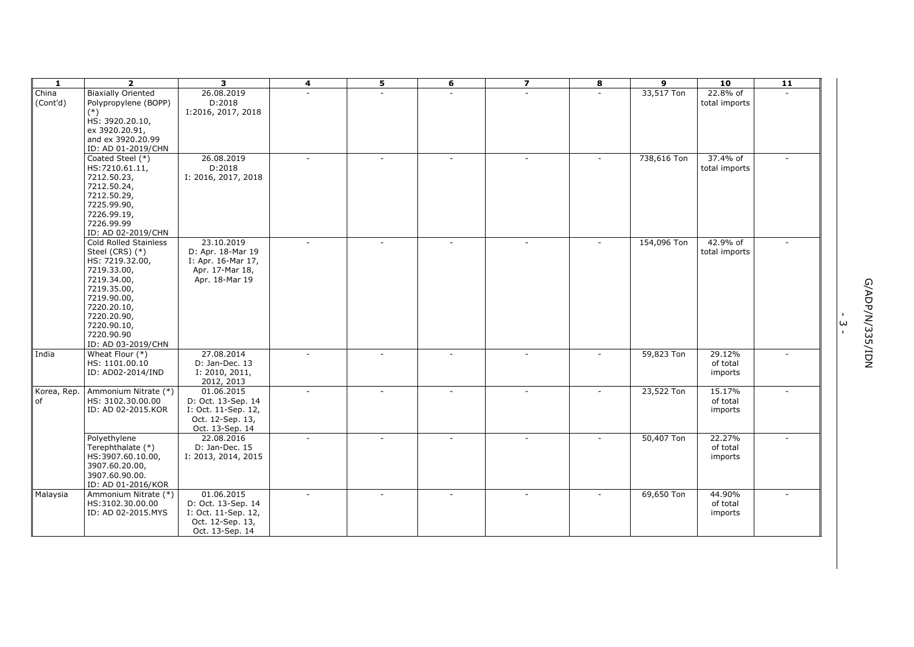| $\mathbf{1}$      | $\overline{2}$                                                                                                                                                                                                  | 3                                                                                              | 4                        | 5 | 6 | $\overline{z}$ | 8      | 9           | 10                            | 11 |                                                    |
|-------------------|-----------------------------------------------------------------------------------------------------------------------------------------------------------------------------------------------------------------|------------------------------------------------------------------------------------------------|--------------------------|---|---|----------------|--------|-------------|-------------------------------|----|----------------------------------------------------|
| China<br>(Cont'd) | <b>Biaxially Oriented</b><br>Polypropylene (BOPP)<br>$(*)$<br>HS: 3920.20.10,<br>ex 3920.20.91,<br>and ex 3920.20.99<br>ID: AD 01-2019/CHN                                                                      | 26.08.2019<br>D:2018<br>I:2016, 2017, 2018                                                     |                          |   |   |                | ÷.     | 33,517 Ton  | 22.8% of<br>total imports     |    |                                                    |
|                   | Coated Steel (*)<br>HS:7210.61.11,<br>7212.50.23,<br>7212.50.24,<br>7212.50.29,<br>7225.99.90,<br>7226.99.19,<br>7226.99.99<br>ID: AD 02-2019/CHN                                                               | 26.08.2019<br>D:2018<br>I: 2016, 2017, 2018                                                    | $\sim$                   |   |   |                |        | 738,616 Ton | 37.4% of<br>total imports     |    |                                                    |
|                   | <b>Cold Rolled Stainless</b><br>Steel (CRS) (*)<br>HS: 7219.32.00,<br>7219.33.00,<br>7219.34.00,<br>7219.35.00,<br>7219.90.00,<br>7220.20.10,<br>7220.20.90,<br>7220.90.10,<br>7220.90.90<br>ID: AD 03-2019/CHN | 23.10.2019<br>D: Apr. 18-Mar 19<br>I: Apr. 16-Mar 17,<br>Apr. 17-Mar 18,<br>Apr. 18-Mar 19     | $\overline{\phantom{a}}$ |   |   |                | $\sim$ | 154,096 Ton | 42.9% of<br>total imports     |    | <b>G/ADP/N/335/IDN</b><br>$\omega$<br>$\mathbf{L}$ |
| India             | Wheat Flour (*)<br>HS: 1101.00.10<br>ID: AD02-2014/IND                                                                                                                                                          | 27.08.2014<br>D: Jan-Dec. 13<br>I: 2010, 2011,<br>2012, 2013                                   | $\sim$                   |   |   |                |        | 59,823 Ton  | 29.12%<br>of total<br>imports |    |                                                    |
| Korea, Rep.<br>of | Ammonium Nitrate (*)<br>HS: 3102.30.00.00<br>ID: AD 02-2015.KOR                                                                                                                                                 | 01.06.2015<br>D: Oct. 13-Sep. 14<br>I: Oct. 11-Sep. 12,<br>Oct. 12-Sep. 13,<br>Oct. 13-Sep. 14 | $\sim$                   |   |   | $\sim$         | $\sim$ | 23,522 Ton  | 15.17%<br>of total<br>imports |    |                                                    |
|                   | Polyethylene<br>Terephthalate (*)<br>HS:3907.60.10.00,<br>3907.60.20.00,<br>3907.60.90.00.<br>ID: AD 01-2016/KOR                                                                                                | 22.08.2016<br>D: Jan-Dec. 15<br>I: 2013, 2014, 2015                                            |                          |   |   |                |        | 50,407 Ton  | 22.27%<br>of total<br>imports |    |                                                    |
| Malaysia          | Ammonium Nitrate (*)<br>HS:3102.30.00.00<br>ID: AD 02-2015.MYS                                                                                                                                                  | 01.06.2015<br>D: Oct. 13-Sep. 14<br>I: Oct. 11-Sep. 12,<br>Oct. 12-Sep. 13,<br>Oct. 13-Sep. 14 | $\blacksquare$           |   |   |                |        | 69,650 Ton  | 44.90%<br>of total<br>imports |    |                                                    |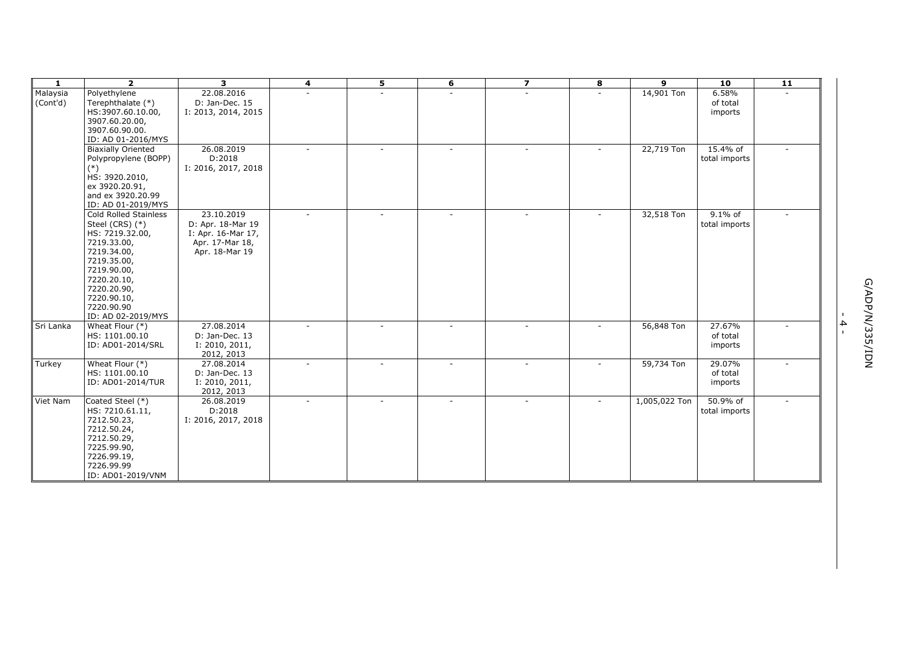| $\mathbf{1}$         | $\overline{2}$                                                                                                                                                                                           | 3                                                                                          | 4                        | 5      | 6 | $\overline{z}$ | 8      | 9             | 10                            | 11 |                                  |                        |
|----------------------|----------------------------------------------------------------------------------------------------------------------------------------------------------------------------------------------------------|--------------------------------------------------------------------------------------------|--------------------------|--------|---|----------------|--------|---------------|-------------------------------|----|----------------------------------|------------------------|
| Malaysia<br>(Cont'd) | Polyethylene<br>Terephthalate (*)<br>HS:3907.60.10.00,<br>3907.60.20.00,<br>3907.60.90.00.<br>ID: AD 01-2016/MYS                                                                                         | 22.08.2016<br>D: Jan-Dec. 15<br>I: 2013, 2014, 2015                                        | $\sim$                   |        |   |                | $\sim$ | 14,901 Ton    | 6.58%<br>of total<br>imports  |    |                                  |                        |
|                      | <b>Biaxially Oriented</b><br>Polypropylene (BOPP)<br>$(*)$<br>HS: 3920.2010,<br>ex 3920.20.91,<br>and ex 3920.20.99<br>ID: AD 01-2019/MYS                                                                | 26.08.2019<br>D:2018<br>I: 2016, 2017, 2018                                                | $\sim$                   | $\sim$ |   | $\sim$         | $\sim$ | 22,719 Ton    | 15.4% of<br>total imports     |    |                                  |                        |
|                      | Cold Rolled Stainless<br>Steel (CRS) (*)<br>HS: 7219.32.00,<br>7219.33.00,<br>7219.34.00,<br>7219.35.00,<br>7219.90.00,<br>7220.20.10,<br>7220.20.90,<br>7220.90.10,<br>7220.90.90<br>ID: AD 02-2019/MYS | 23.10.2019<br>D: Apr. 18-Mar 19<br>I: Apr. 16-Mar 17,<br>Apr. 17-Mar 18,<br>Apr. 18-Mar 19 | $\sim$                   |        |   | $\sim$         | $\sim$ | 32,518 Ton    | $9.1\%$ of<br>total imports   |    |                                  | <b>G/ADP/N/335/IDN</b> |
| Sri Lanka            | Wheat Flour (*)<br>HS: 1101.00.10<br>ID: AD01-2014/SRL                                                                                                                                                   | 27.08.2014<br>D: Jan-Dec. 13<br>I: 2010, 2011,<br>2012, 2013                               | ÷                        |        |   |                | $\sim$ | 56,848 Ton    | 27.67%<br>of total<br>imports |    | $\blacktriangle$<br>$\mathbf{I}$ |                        |
| Turkey               | Wheat Flour $(*)$<br>HS: 1101.00.10<br>ID: AD01-2014/TUR                                                                                                                                                 | 27.08.2014<br>D: Jan-Dec. 13<br>I: 2010, 2011,<br>2012, 2013                               |                          |        |   | $\sim$         |        | 59,734 Ton    | 29.07%<br>of total<br>imports |    |                                  |                        |
| Viet Nam             | Coated Steel (*)<br>HS: 7210.61.11,<br>7212.50.23,<br>7212.50.24,<br>7212.50.29,<br>7225.99.90,<br>7226.99.19,<br>7226.99.99<br>ID: AD01-2019/VNM                                                        | 26.08.2019<br>D:2018<br>I: 2016, 2017, 2018                                                | $\overline{\phantom{a}}$ |        |   |                | $\sim$ | 1,005,022 Ton | 50.9% of<br>total imports     | ٠  |                                  |                        |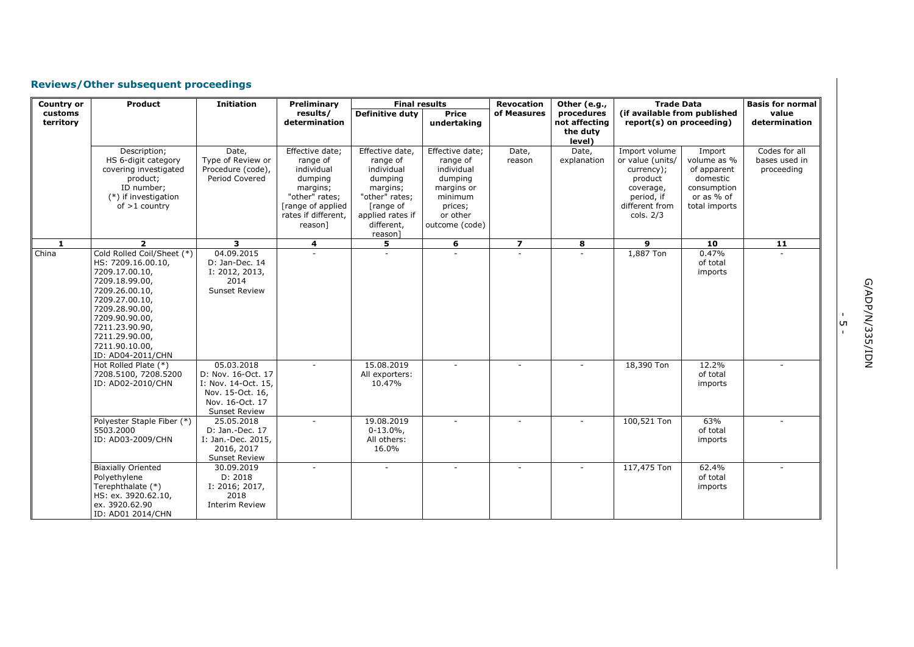# **Reviews/Other subsequent proceedings**

| <b>Country or</b>    | <b>Product</b>                                                                                                                                                                                                                          | <b>Initiation</b>                                                                                                      | Preliminary                                                                                                                               | <b>Final results</b>                                                                                                                         |                                                                                                                        | <b>Revocation</b>       | Other (e.g.,                                      | <b>Trade Data</b>                                                                                                    |                                                                                                | <b>Basis for normal</b>                      |
|----------------------|-----------------------------------------------------------------------------------------------------------------------------------------------------------------------------------------------------------------------------------------|------------------------------------------------------------------------------------------------------------------------|-------------------------------------------------------------------------------------------------------------------------------------------|----------------------------------------------------------------------------------------------------------------------------------------------|------------------------------------------------------------------------------------------------------------------------|-------------------------|---------------------------------------------------|----------------------------------------------------------------------------------------------------------------------|------------------------------------------------------------------------------------------------|----------------------------------------------|
| customs<br>territory |                                                                                                                                                                                                                                         |                                                                                                                        | results/<br>determination                                                                                                                 | <b>Definitive duty</b>                                                                                                                       | <b>Price</b><br>undertaking                                                                                            | of Measures             | procedures<br>not affecting<br>the duty<br>level) | (if available from published<br>report(s) on proceeding)                                                             |                                                                                                | value<br>determination                       |
|                      | Description;<br>HS 6-digit category<br>covering investigated<br>product;<br>ID number:<br>(*) if investigation<br>of $>1$ country                                                                                                       | Date,<br>Type of Review or<br>Procedure (code),<br>Period Covered                                                      | Effective date;<br>range of<br>individual<br>dumping<br>margins;<br>"other" rates;<br>[range of applied<br>rates if different,<br>reason] | Effective date,<br>range of<br>individual<br>dumping<br>margins;<br>"other" rates;<br>[range of<br>applied rates if<br>different,<br>reason] | Effective date;<br>range of<br>individual<br>dumping<br>margins or<br>minimum<br>prices;<br>or other<br>outcome (code) | Date,<br>reason         | Date,<br>explanation                              | Import volume<br>or value (units/<br>currency);<br>product<br>coverage,<br>period, if<br>different from<br>cols. 2/3 | Import<br>volume as %<br>of apparent<br>domestic<br>consumption<br>or as % of<br>total imports | Codes for all<br>bases used in<br>proceeding |
| $\mathbf{1}$         | $\overline{2}$                                                                                                                                                                                                                          | 3                                                                                                                      | 4                                                                                                                                         | 5                                                                                                                                            | 6                                                                                                                      | $\overline{\mathbf{z}}$ | 8                                                 | 9                                                                                                                    | 10                                                                                             | 11                                           |
| China                | Cold Rolled Coil/Sheet (*)<br>HS: 7209.16.00.10,<br>7209.17.00.10,<br>7209.18.99.00,<br>7209.26.00.10,<br>7209.27.00.10,<br>7209.28.90.00,<br>7209.90.90.00,<br>7211.23.90.90,<br>7211.29.90.00,<br>7211.90.10.00,<br>ID: AD04-2011/CHN | 04.09.2015<br>D: Jan-Dec. 14<br>I: 2012, 2013,<br>2014<br><b>Sunset Review</b>                                         |                                                                                                                                           | $\sim$                                                                                                                                       | $\sim$                                                                                                                 |                         |                                                   | 1,887 Ton                                                                                                            | 0.47%<br>of total<br>imports                                                                   |                                              |
|                      | Hot Rolled Plate (*)<br>7208.5100, 7208.5200<br>ID: AD02-2010/CHN                                                                                                                                                                       | 05.03.2018<br>D: Nov. 16-Oct. 17<br>I: Nov. 14-Oct. 15,<br>Nov. 15-Oct. 16,<br>Nov. 16-Oct. 17<br><b>Sunset Review</b> |                                                                                                                                           | 15.08.2019<br>All exporters:<br>10.47%                                                                                                       |                                                                                                                        |                         |                                                   | 18,390 Ton                                                                                                           | 12.2%<br>of total<br>imports                                                                   |                                              |
|                      | Polyester Staple Fiber (*)<br>5503.2000<br>ID: AD03-2009/CHN                                                                                                                                                                            | 25.05.2018<br>D: Jan.-Dec. 17<br>I: Jan.-Dec. 2015,<br>2016, 2017<br><b>Sunset Review</b>                              |                                                                                                                                           | 19.08.2019<br>$0-13.0%$<br>All others:<br>16.0%                                                                                              | ÷                                                                                                                      | ÷.                      | $\sim$                                            | 100,521 Ton                                                                                                          | 63%<br>of total<br>imports                                                                     |                                              |
|                      | <b>Biaxially Oriented</b><br>Polyethylene<br>Terephthalate (*)<br>HS: ex. 3920.62.10,<br>ex. 3920.62.90<br>ID: AD01 2014/CHN                                                                                                            | 30.09.2019<br>D: 2018<br>I: 2016; 2017,<br>2018<br><b>Interim Review</b>                                               |                                                                                                                                           |                                                                                                                                              |                                                                                                                        |                         |                                                   | 117,475 Ton                                                                                                          | 62.4%<br>of total<br>imports                                                                   |                                              |

ا<br>- 5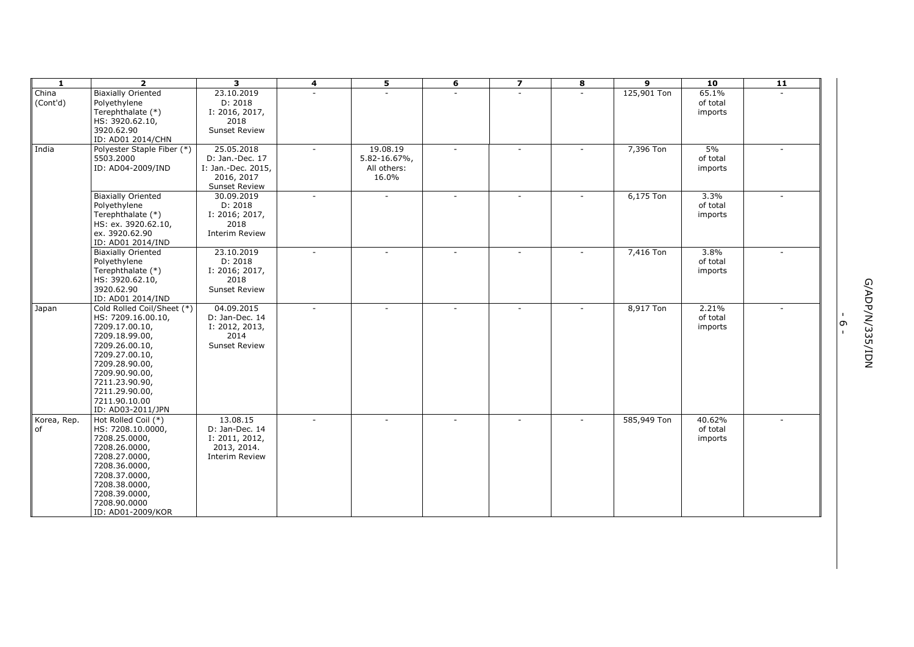| -1          | $\overline{2}$                  | $\overline{\mathbf{3}}$      | $\overline{\mathbf{4}}$ | 5            | 6                        | $\overline{z}$           | 8 | 9           | 10       | $\overline{11}$ |                   |                 |
|-------------|---------------------------------|------------------------------|-------------------------|--------------|--------------------------|--------------------------|---|-------------|----------|-----------------|-------------------|-----------------|
| China       | <b>Biaxially Oriented</b>       | 23.10.2019                   |                         |              |                          | ä,                       |   | 125,901 Ton | 65.1%    |                 |                   |                 |
| (Cont'd)    | Polyethylene                    | D: 2018                      |                         |              |                          |                          |   |             | of total |                 |                   |                 |
|             | Terephthalate (*)               | I: 2016, 2017,               |                         |              |                          |                          |   |             | imports  |                 |                   |                 |
|             | HS: 3920.62.10,                 | 2018                         |                         |              |                          |                          |   |             |          |                 |                   |                 |
|             | 3920.62.90                      | <b>Sunset Review</b>         |                         |              |                          |                          |   |             |          |                 |                   |                 |
|             | ID: AD01 2014/CHN               |                              |                         |              |                          |                          |   |             |          |                 |                   |                 |
| India       | Polyester Staple Fiber (*)      | 25.05.2018                   | $\sim$                  | 19.08.19     | $\sim$                   | $\sim$                   |   | 7,396 Ton   | 5%       | $\sim$          |                   |                 |
|             | 5503.2000                       | D: Jan.-Dec. 17              |                         | 5.82-16.67%, |                          |                          |   |             | of total |                 |                   |                 |
|             | ID: AD04-2009/IND               | I: Jan.-Dec. 2015,           |                         | All others:  |                          |                          |   |             | imports  |                 |                   |                 |
|             |                                 | 2016, 2017                   |                         | 16.0%        |                          |                          |   |             |          |                 |                   |                 |
|             |                                 | <b>Sunset Review</b>         |                         |              |                          |                          |   |             |          |                 |                   |                 |
|             | <b>Biaxially Oriented</b>       | 30.09.2019                   | $\sim$                  | $\sim$       | $\overline{\phantom{a}}$ |                          |   | 6,175 Ton   | 3.3%     |                 |                   |                 |
|             | Polyethylene                    | D: 2018                      |                         |              |                          |                          |   |             | of total |                 |                   |                 |
|             | Terephthalate (*)               | I: 2016; 2017,               |                         |              |                          |                          |   |             | imports  |                 |                   |                 |
|             | HS: ex. 3920.62.10,             | 2018                         |                         |              |                          |                          |   |             |          |                 |                   |                 |
|             | ex. 3920.62.90                  | <b>Interim Review</b>        |                         |              |                          |                          |   |             |          |                 |                   |                 |
|             | ID: AD01 2014/IND               |                              |                         |              |                          |                          |   |             |          |                 |                   |                 |
|             | <b>Biaxially Oriented</b>       | 23.10.2019                   |                         |              | $\sim$                   | $\sim$                   |   | 7,416 Ton   | $3.8\%$  |                 |                   |                 |
|             | Polyethylene                    | D: 2018                      |                         |              |                          |                          |   |             | of total |                 |                   |                 |
|             | Terephthalate (*)               | I: 2016; 2017,               |                         |              |                          |                          |   |             | imports  |                 |                   |                 |
|             | HS: 3920.62.10,                 | 2018<br><b>Sunset Review</b> |                         |              |                          |                          |   |             |          |                 |                   |                 |
|             | 3920.62.90<br>ID: AD01 2014/IND |                              |                         |              |                          |                          |   |             |          |                 |                   |                 |
| Japan       | Cold Rolled Coil/Sheet (*)      | 04.09.2015                   |                         | $\sim$       | $\sim$                   | $\overline{\phantom{a}}$ |   | 8,917 Ton   | 2.21%    |                 |                   | MQI/SS2/N/dQV/5 |
|             | HS: 7209.16.00.10,              | D: Jan-Dec. 14               |                         |              |                          |                          |   |             | of total |                 |                   |                 |
|             | 7209.17.00.10,                  | I: 2012, 2013,               |                         |              |                          |                          |   |             | imports  |                 | $\mathsf{\sigma}$ |                 |
|             | 7209.18.99.00,                  | 2014                         |                         |              |                          |                          |   |             |          |                 | $\blacksquare$    |                 |
|             | 7209.26.00.10,                  | <b>Sunset Review</b>         |                         |              |                          |                          |   |             |          |                 |                   |                 |
|             | 7209.27.00.10,                  |                              |                         |              |                          |                          |   |             |          |                 |                   |                 |
|             | 7209.28.90.00,                  |                              |                         |              |                          |                          |   |             |          |                 |                   |                 |
|             | 7209.90.90.00,                  |                              |                         |              |                          |                          |   |             |          |                 |                   |                 |
|             | 7211.23.90.90,                  |                              |                         |              |                          |                          |   |             |          |                 |                   |                 |
|             | 7211.29.90.00,                  |                              |                         |              |                          |                          |   |             |          |                 |                   |                 |
|             | 7211.90.10.00                   |                              |                         |              |                          |                          |   |             |          |                 |                   |                 |
|             | ID: AD03-2011/JPN               |                              |                         |              |                          |                          |   |             |          |                 |                   |                 |
| Korea, Rep. | Hot Rolled Coil (*)             | 13.08.15                     |                         | $\sim$       | $\sim$                   | $\overline{\phantom{a}}$ |   | 585,949 Ton | 40.62%   |                 |                   |                 |
| of          | HS: 7208.10.0000,               | D: Jan-Dec. 14               |                         |              |                          |                          |   |             | of total |                 |                   |                 |
|             | 7208.25.0000,                   | I: 2011, 2012,               |                         |              |                          |                          |   |             | imports  |                 |                   |                 |
|             | 7208.26.0000,                   | 2013, 2014.                  |                         |              |                          |                          |   |             |          |                 |                   |                 |
|             | 7208.27.0000,                   | <b>Interim Review</b>        |                         |              |                          |                          |   |             |          |                 |                   |                 |
|             | 7208.36.0000,                   |                              |                         |              |                          |                          |   |             |          |                 |                   |                 |
|             | 7208.37.0000,                   |                              |                         |              |                          |                          |   |             |          |                 |                   |                 |
|             | 7208.38.0000,                   |                              |                         |              |                          |                          |   |             |          |                 |                   |                 |
|             | 7208.39.0000,                   |                              |                         |              |                          |                          |   |             |          |                 |                   |                 |
|             | 7208.90.0000                    |                              |                         |              |                          |                          |   |             |          |                 |                   |                 |
|             | ID: AD01-2009/KOR               |                              |                         |              |                          |                          |   |             |          |                 |                   |                 |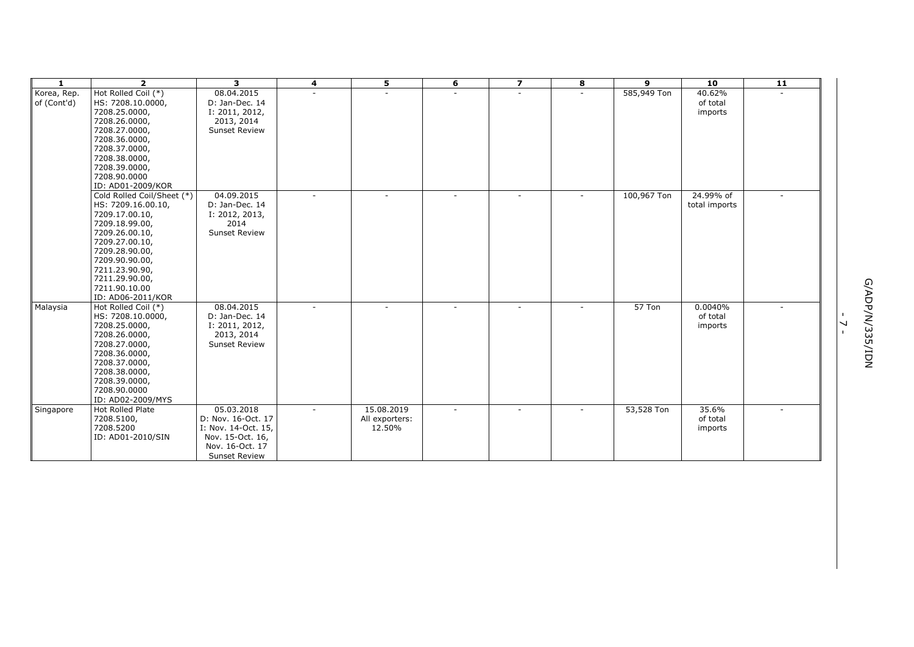| $\mathbf{1}$ | $\overline{2}$             | 3                    | 4 | 5              | 6      | $\overline{ }$           | 8 | 9           | 10            | 11 |                                          |
|--------------|----------------------------|----------------------|---|----------------|--------|--------------------------|---|-------------|---------------|----|------------------------------------------|
| Korea, Rep.  | Hot Rolled Coil (*)        | 08.04.2015           |   |                |        |                          |   | 585,949 Ton | 40.62%        |    |                                          |
| of (Cont'd)  | HS: 7208.10.0000,          | D: Jan-Dec. 14       |   |                |        |                          |   |             | of total      |    |                                          |
|              | 7208.25.0000,              | I: 2011, 2012,       |   |                |        |                          |   |             | imports       |    |                                          |
|              | 7208.26.0000,              | 2013, 2014           |   |                |        |                          |   |             |               |    |                                          |
|              | 7208.27.0000,              | <b>Sunset Review</b> |   |                |        |                          |   |             |               |    |                                          |
|              | 7208.36.0000,              |                      |   |                |        |                          |   |             |               |    |                                          |
|              | 7208.37.0000,              |                      |   |                |        |                          |   |             |               |    |                                          |
|              | 7208.38.0000,              |                      |   |                |        |                          |   |             |               |    |                                          |
|              | 7208.39.0000,              |                      |   |                |        |                          |   |             |               |    |                                          |
|              | 7208.90.0000               |                      |   |                |        |                          |   |             |               |    |                                          |
|              | ID: AD01-2009/KOR          |                      |   |                |        |                          |   |             |               |    |                                          |
|              | Cold Rolled Coil/Sheet (*) | 04.09.2015           |   |                |        |                          |   | 100,967 Ton | 24.99% of     |    |                                          |
|              | HS: 7209.16.00.10,         | D: Jan-Dec. 14       |   |                |        |                          |   |             | total imports |    |                                          |
|              | 7209.17.00.10,             | I: 2012, 2013,       |   |                |        |                          |   |             |               |    |                                          |
|              | 7209.18.99.00,             | 2014                 |   |                |        |                          |   |             |               |    |                                          |
|              | 7209.26.00.10,             | <b>Sunset Review</b> |   |                |        |                          |   |             |               |    |                                          |
|              | 7209.27.00.10,             |                      |   |                |        |                          |   |             |               |    |                                          |
|              | 7209.28.90.00,             |                      |   |                |        |                          |   |             |               |    |                                          |
|              | 7209.90.90.00,             |                      |   |                |        |                          |   |             |               |    |                                          |
|              | 7211.23.90.90,             |                      |   |                |        |                          |   |             |               |    |                                          |
|              | 7211.29.90.00,             |                      |   |                |        |                          |   |             |               |    |                                          |
|              | 7211.90.10.00              |                      |   |                |        |                          |   |             |               |    |                                          |
|              | ID: AD06-2011/KOR          |                      |   |                |        |                          |   |             |               |    | <b>G/ADP/N/335/IDN</b>                   |
| Malaysia     | Hot Rolled Coil (*)        | 08.04.2015           |   |                | $\sim$ | $\sim$                   |   | 57 Ton      | 0.0040%       |    |                                          |
|              | HS: 7208.10.0000,          | D: Jan-Dec. 14       |   |                |        |                          |   |             | of total      |    |                                          |
|              | 7208.25.0000,              | I: 2011, 2012,       |   |                |        |                          |   |             | imports       |    | $\overline{\phantom{0}}$<br>$\mathbf{L}$ |
|              | 7208.26.0000,              | 2013, 2014           |   |                |        |                          |   |             |               |    |                                          |
|              | 7208.27.0000,              | <b>Sunset Review</b> |   |                |        |                          |   |             |               |    |                                          |
|              | 7208.36.0000,              |                      |   |                |        |                          |   |             |               |    |                                          |
|              | 7208.37.0000,              |                      |   |                |        |                          |   |             |               |    |                                          |
|              | 7208.38.0000,              |                      |   |                |        |                          |   |             |               |    |                                          |
|              | 7208.39.0000,              |                      |   |                |        |                          |   |             |               |    |                                          |
|              | 7208.90.0000               |                      |   |                |        |                          |   |             |               |    |                                          |
|              | ID: AD02-2009/MYS          |                      |   |                |        |                          |   |             |               |    |                                          |
| Singapore    | <b>Hot Rolled Plate</b>    | 05.03.2018           |   | 15.08.2019     | $\sim$ | $\overline{\phantom{a}}$ |   | 53,528 Ton  | 35.6%         |    |                                          |
|              | 7208.5100,                 | D: Nov. 16-Oct. 17   |   | All exporters: |        |                          |   |             | of total      |    |                                          |
|              | 7208.5200                  | I: Nov. 14-Oct. 15,  |   | 12.50%         |        |                          |   |             | imports       |    |                                          |
|              | ID: AD01-2010/SIN          | Nov. 15-Oct. 16,     |   |                |        |                          |   |             |               |    |                                          |
|              |                            | Nov. 16-Oct. 17      |   |                |        |                          |   |             |               |    |                                          |
|              |                            | <b>Sunset Review</b> |   |                |        |                          |   |             |               |    |                                          |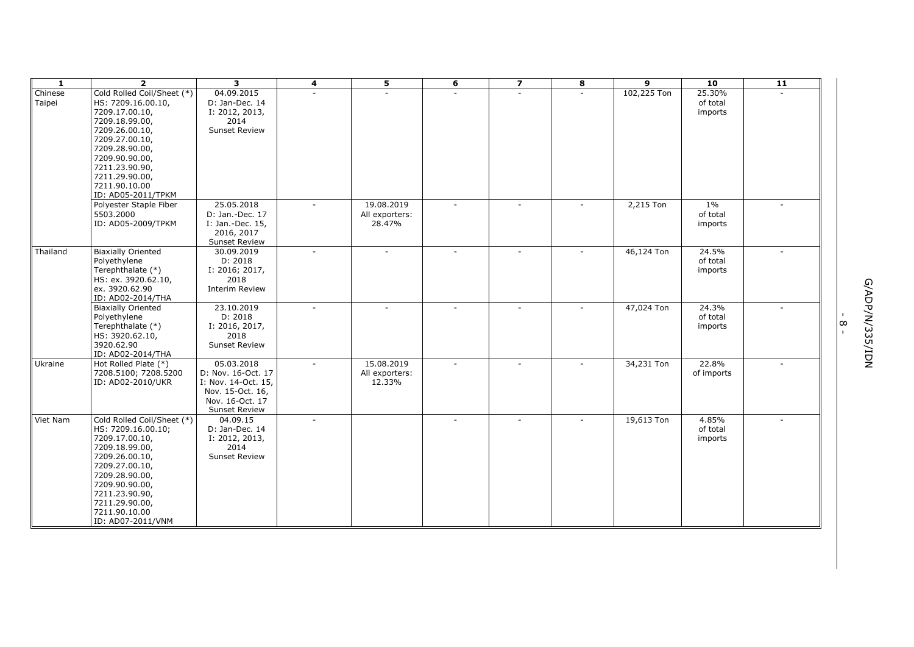| $\mathbf{1}$ | $\overline{2}$                      | 3                                       | 4      | 5              | 6      | $\overline{ }$           | 8      | 9           | 10         | 11     |                          |
|--------------|-------------------------------------|-----------------------------------------|--------|----------------|--------|--------------------------|--------|-------------|------------|--------|--------------------------|
| Chinese      | Cold Rolled Coil/Sheet (*)          | 04.09.2015                              |        |                |        | ÷.                       |        | 102,225 Ton | 25.30%     |        |                          |
| Taipei       | HS: 7209.16.00.10,                  | D: Jan-Dec. 14                          |        |                |        |                          |        |             | of total   |        |                          |
|              | 7209.17.00.10,                      | I: 2012, 2013,                          |        |                |        |                          |        |             | imports    |        |                          |
|              | 7209.18.99.00,                      | 2014                                    |        |                |        |                          |        |             |            |        |                          |
|              | 7209.26.00.10,                      | <b>Sunset Review</b>                    |        |                |        |                          |        |             |            |        |                          |
|              | 7209.27.00.10,                      |                                         |        |                |        |                          |        |             |            |        |                          |
|              | 7209.28.90.00,                      |                                         |        |                |        |                          |        |             |            |        |                          |
|              | 7209.90.90.00,                      |                                         |        |                |        |                          |        |             |            |        |                          |
|              | 7211.23.90.90,                      |                                         |        |                |        |                          |        |             |            |        |                          |
|              | 7211.29.90.00,                      |                                         |        |                |        |                          |        |             |            |        |                          |
|              | 7211.90.10.00<br>ID: AD05-2011/TPKM |                                         |        |                |        |                          |        |             |            |        |                          |
|              |                                     | 25.05.2018                              | $\sim$ | 19.08.2019     | $\sim$ | $\sim$                   | $\sim$ |             | $1\%$      | $\sim$ |                          |
|              | Polyester Staple Fiber<br>5503.2000 | D: Jan.-Dec. 17                         |        | All exporters: |        |                          |        | 2,215 Ton   | of total   |        |                          |
|              | ID: AD05-2009/TPKM                  | I: Jan.-Dec. 15,                        |        | 28.47%         |        |                          |        |             | imports    |        |                          |
|              |                                     | 2016, 2017                              |        |                |        |                          |        |             |            |        |                          |
|              |                                     | <b>Sunset Review</b>                    |        |                |        |                          |        |             |            |        |                          |
| Thailand     | <b>Biaxially Oriented</b>           | 30.09.2019                              |        |                |        |                          |        | 46,124 Ton  | 24.5%      |        |                          |
|              | Polyethylene                        | D: 2018                                 |        |                |        |                          |        |             | of total   |        |                          |
|              | Terephthalate (*)                   | I: 2016; 2017,                          |        |                |        |                          |        |             | imports    |        |                          |
|              | HS: ex. 3920.62.10,                 | 2018                                    |        |                |        |                          |        |             |            |        |                          |
|              | ex. 3920.62.90                      | <b>Interim Review</b>                   |        |                |        |                          |        |             |            |        |                          |
|              | ID: AD02-2014/THA                   |                                         |        |                |        |                          |        |             |            |        |                          |
|              | <b>Biaxially Oriented</b>           | 23.10.2019                              | $\sim$ | ÷.             |        |                          |        | 47,024 Ton  | 24.3%      |        |                          |
|              | Polyethylene                        | D: 2018                                 |        |                |        |                          |        |             | of total   |        |                          |
|              | Terephthalate (*)                   | I: 2016, 2017,                          |        |                |        |                          |        |             | imports    |        | $\infty$<br>$\mathbf{r}$ |
|              | HS: 3920.62.10,                     | 2018                                    |        |                |        |                          |        |             |            |        |                          |
|              | 3920.62.90                          | <b>Sunset Review</b>                    |        |                |        |                          |        |             |            |        |                          |
|              | ID: AD02-2014/THA                   |                                         |        |                |        |                          |        |             |            |        | MQI/S22/N/30N            |
| Ukraine      | Hot Rolled Plate (*)                | 05.03.2018                              |        | 15.08.2019     |        | $\sim$                   |        | 34,231 Ton  | 22.8%      |        |                          |
|              | 7208.5100; 7208.5200                | D: Nov. 16-Oct. 17                      |        | All exporters: |        |                          |        |             | of imports |        |                          |
|              | ID: AD02-2010/UKR                   | I: Nov. 14-Oct. 15,                     |        | 12.33%         |        |                          |        |             |            |        |                          |
|              |                                     | Nov. 15-Oct. 16,                        |        |                |        |                          |        |             |            |        |                          |
|              |                                     | Nov. 16-Oct. 17<br><b>Sunset Review</b> |        |                |        |                          |        |             |            |        |                          |
| Viet Nam     | Cold Rolled Coil/Sheet (*)          | 04.09.15                                | $\sim$ |                |        | $\overline{\phantom{a}}$ |        | 19,613 Ton  | 4.85%      |        |                          |
|              | HS: 7209.16.00.10;                  | D: Jan-Dec. 14                          |        |                |        |                          |        |             | of total   |        |                          |
|              | 7209.17.00.10,                      | I: 2012, 2013,                          |        |                |        |                          |        |             | imports    |        |                          |
|              | 7209.18.99.00,                      | 2014                                    |        |                |        |                          |        |             |            |        |                          |
|              | 7209.26.00.10,                      | <b>Sunset Review</b>                    |        |                |        |                          |        |             |            |        |                          |
|              | 7209.27.00.10,                      |                                         |        |                |        |                          |        |             |            |        |                          |
|              | 7209.28.90.00,                      |                                         |        |                |        |                          |        |             |            |        |                          |
|              | 7209.90.90.00,                      |                                         |        |                |        |                          |        |             |            |        |                          |
|              | 7211.23.90.90,                      |                                         |        |                |        |                          |        |             |            |        |                          |
|              | 7211.29.90.00,                      |                                         |        |                |        |                          |        |             |            |        |                          |
|              | 7211.90.10.00                       |                                         |        |                |        |                          |        |             |            |        |                          |
|              | ID: AD07-2011/VNM                   |                                         |        |                |        |                          |        |             |            |        |                          |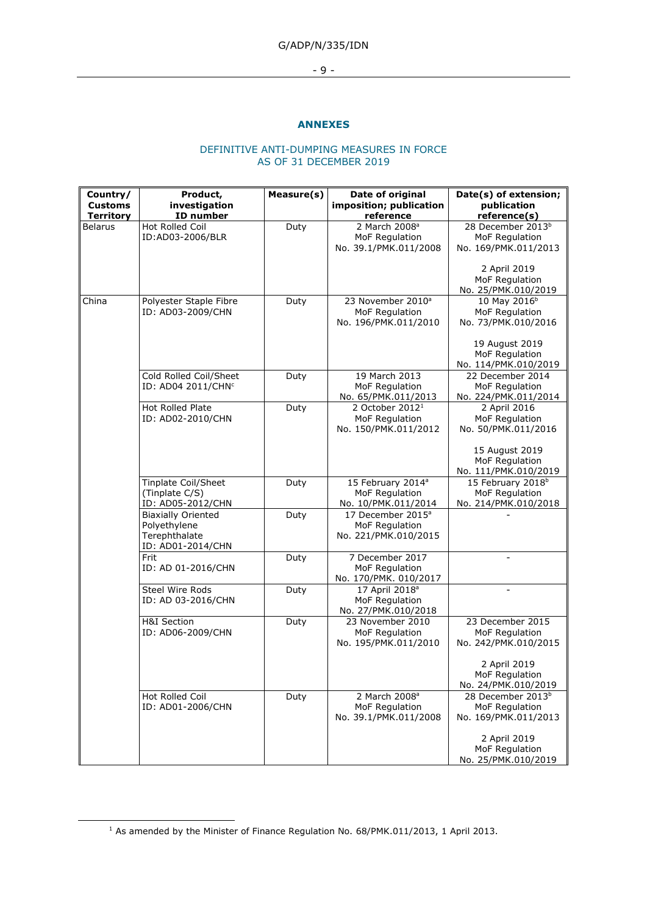G/ADP/N/335/IDN

- 9 -

## **ANNEXES**

#### DEFINITIVE ANTI-DUMPING MEASURES IN FORCE AS OF 31 DECEMBER 2019

| Country/<br><b>Customs</b><br><b>Territory</b> | Product,<br>investigation<br>ID number                                          | Measure(s) | Date of original<br>imposition; publication<br>reference                | Date(s) of extension;<br>publication<br>reference(s)                    |
|------------------------------------------------|---------------------------------------------------------------------------------|------------|-------------------------------------------------------------------------|-------------------------------------------------------------------------|
| Belarus                                        | <b>Hot Rolled Coil</b><br>ID:AD03-2006/BLR                                      | Duty       | 2 March 2008 <sup>a</sup><br>MoF Regulation<br>No. 39.1/PMK.011/2008    | 28 December 2013 <sup>b</sup><br>MoF Regulation<br>No. 169/PMK.011/2013 |
|                                                |                                                                                 |            |                                                                         | 2 April 2019<br>MoF Regulation<br>No. 25/PMK.010/2019                   |
| China                                          | Polyester Staple Fibre<br>ID: AD03-2009/CHN                                     | Duty       | 23 November 2010 <sup>a</sup><br>MoF Regulation<br>No. 196/PMK.011/2010 | 10 May 2016 <sup>b</sup><br>MoF Regulation<br>No. 73/PMK.010/2016       |
|                                                |                                                                                 |            |                                                                         | 19 August 2019<br>MoF Regulation<br>No. 114/PMK.010/2019                |
|                                                | Cold Rolled Coil/Sheet<br>ID: AD04 2011/CHN <sup>c</sup>                        | Duty       | 19 March 2013<br>MoF Regulation<br>No. 65/PMK.011/2013                  | 22 December 2014<br>MoF Regulation<br>No. 224/PMK.011/2014              |
|                                                | Hot Rolled Plate<br>ID: AD02-2010/CHN                                           | Duty       | 2 October 2012 <sup>1</sup><br>MoF Regulation<br>No. 150/PMK.011/2012   | 2 April 2016<br>MoF Regulation<br>No. 50/PMK.011/2016                   |
|                                                |                                                                                 |            |                                                                         | 15 August 2019<br>MoF Regulation<br>No. 111/PMK.010/2019                |
|                                                | Tinplate Coil/Sheet<br>(Tinplate C/S)<br>ID: AD05-2012/CHN                      | Duty       | 15 February 2014 <sup>a</sup><br>MoF Regulation<br>No. 10/PMK.011/2014  | 15 February 2018 <sup>b</sup><br>MoF Regulation<br>No. 214/PMK.010/2018 |
|                                                | <b>Biaxially Oriented</b><br>Polyethylene<br>Terephthalate<br>ID: AD01-2014/CHN | Duty       | 17 December 2015 <sup>a</sup><br>MoF Regulation<br>No. 221/PMK.010/2015 |                                                                         |
|                                                | Frit<br>ID: AD 01-2016/CHN                                                      | Duty       | 7 December 2017<br>MoF Regulation<br>No. 170/PMK. 010/2017              |                                                                         |
|                                                | Steel Wire Rods<br>ID: AD 03-2016/CHN                                           | Duty       | 17 April 2018 <sup>a</sup><br>MoF Regulation<br>No. 27/PMK.010/2018     | $\overline{a}$                                                          |
|                                                | H&I Section<br>ID: AD06-2009/CHN                                                | Duty       | 23 November 2010<br>MoF Regulation<br>No. 195/PMK.011/2010              | 23 December 2015<br>MoF Regulation<br>No. 242/PMK.010/2015              |
|                                                |                                                                                 |            |                                                                         | 2 April 2019<br>MoF Regulation<br>No. 24/PMK.010/2019                   |
|                                                | Hot Rolled Coil<br>ID: AD01-2006/CHN                                            | Duty       | 2 March 2008 <sup>a</sup><br>MoF Regulation<br>No. 39.1/PMK.011/2008    | 28 December 2013 <sup>b</sup><br>MoF Regulation<br>No. 169/PMK.011/2013 |
|                                                |                                                                                 |            |                                                                         | 2 April 2019<br>MoF Regulation<br>No. 25/PMK.010/2019                   |

<sup>&</sup>lt;sup>1</sup> As amended by the Minister of Finance Regulation No. 68/PMK.011/2013, 1 April 2013.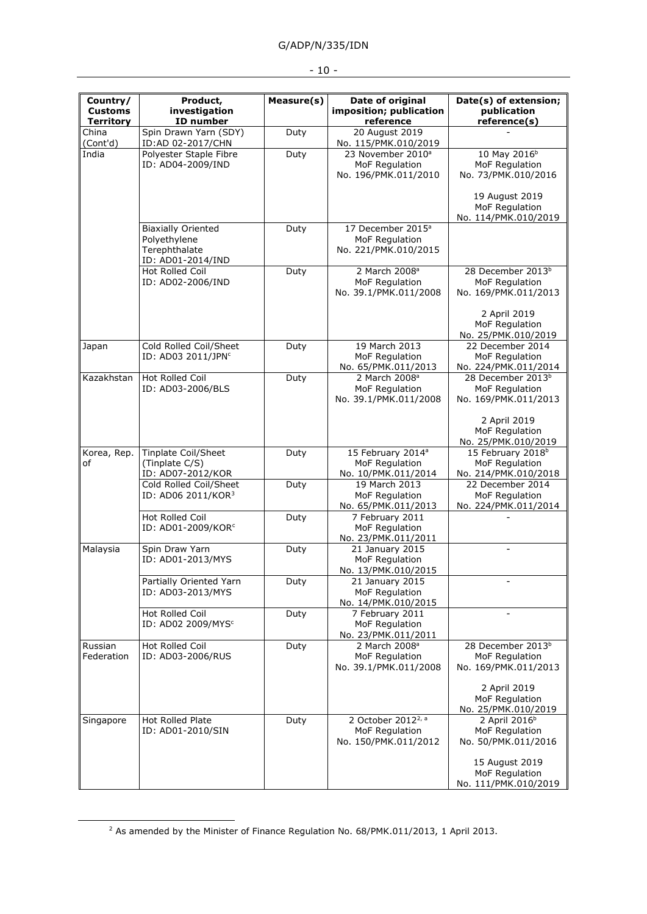| v<br>۰. |  |
|---------|--|
|---------|--|

| Country/<br><b>Customs</b><br><b>Territory</b> | Product,<br>investigation<br>ID number                                          | Measure(s) | Date of original<br>imposition; publication<br>reference                 | Date(s) of extension;<br>publication<br>reference(s)                                                      |
|------------------------------------------------|---------------------------------------------------------------------------------|------------|--------------------------------------------------------------------------|-----------------------------------------------------------------------------------------------------------|
| China                                          | Spin Drawn Yarn (SDY)                                                           | Duty       | 20 August 2019                                                           |                                                                                                           |
| (Cont'd)                                       | ID:AD 02-2017/CHN                                                               |            | No. 115/PMK.010/2019                                                     |                                                                                                           |
| India                                          | Polyester Staple Fibre<br>ID: AD04-2009/IND                                     | Duty       | 23 November 2010 <sup>a</sup><br>MoF Regulation<br>No. 196/PMK.011/2010  | 10 May 2016 <sup>b</sup><br>MoF Regulation<br>No. 73/PMK.010/2016                                         |
|                                                |                                                                                 |            |                                                                          | 19 August 2019<br>MoF Regulation<br>No. 114/PMK.010/2019                                                  |
|                                                | <b>Biaxially Oriented</b><br>Polyethylene<br>Terephthalate<br>ID: AD01-2014/IND | Duty       | 17 December 2015 <sup>a</sup><br>MoF Regulation<br>No. 221/PMK.010/2015  |                                                                                                           |
|                                                | Hot Rolled Coil<br>ID: AD02-2006/IND                                            | Duty       | 2 March 2008 <sup>a</sup><br>MoF Regulation<br>No. 39.1/PMK.011/2008     | 28 December 2013 <sup>b</sup><br>MoF Regulation<br>No. 169/PMK.011/2013<br>2 April 2019<br>MoF Regulation |
|                                                |                                                                                 |            |                                                                          | No. 25/PMK.010/2019                                                                                       |
| Japan                                          | Cold Rolled Coil/Sheet<br>ID: AD03 2011/JPNc                                    | Duty       | 19 March 2013<br>MoF Regulation<br>No. 65/PMK.011/2013                   | 22 December 2014<br>MoF Regulation<br>No. 224/PMK.011/2014                                                |
| Kazakhstan                                     | Hot Rolled Coil                                                                 | Duty       | 2 March 2008 <sup>a</sup>                                                | 28 December 2013 <sup>b</sup>                                                                             |
|                                                | ID: AD03-2006/BLS                                                               |            | MoF Regulation<br>No. 39.1/PMK.011/2008                                  | MoF Regulation<br>No. 169/PMK.011/2013                                                                    |
|                                                |                                                                                 |            |                                                                          | 2 April 2019<br>MoF Regulation<br>No. 25/PMK.010/2019                                                     |
| Korea, Rep.<br>of                              | Tinplate Coil/Sheet<br>(Tinplate C/S)<br>ID: AD07-2012/KOR                      | Duty       | 15 February 2014 <sup>a</sup><br>MoF Regulation<br>No. 10/PMK.011/2014   | 15 February 2018 <sup>b</sup><br>MoF Regulation<br>No. 214/PMK.010/2018                                   |
|                                                | Cold Rolled Coil/Sheet<br>ID: AD06 2011/KOR <sup>3</sup>                        | Duty       | 19 March 2013<br>MoF Regulation<br>No. 65/PMK.011/2013                   | 22 December 2014<br>MoF Regulation<br>No. 224/PMK.011/2014                                                |
|                                                | Hot Rolled Coil<br>ID: AD01-2009/KOR <sup>c</sup>                               | Duty       | 7 February 2011<br>MoF Regulation<br>No. 23/PMK.011/2011                 |                                                                                                           |
| Malaysia                                       | Spin Draw Yarn<br>ID: AD01-2013/MYS                                             | Duty       | 21 January 2015<br>MoF Regulation<br>No. 13/PMK.010/2015                 | $\overline{a}$                                                                                            |
|                                                | Partially Oriented Yarn<br>ID: AD03-2013/MYS                                    | Duty       | 21 January 2015<br>MoF Regulation<br>No. 14/PMK.010/2015                 |                                                                                                           |
|                                                | Hot Rolled Coil<br>ID: AD02 2009/MYS <sup>c</sup>                               | Duty       | 7 February 2011<br>MoF Regulation<br>No. 23/PMK.011/2011                 |                                                                                                           |
| Russian<br>Federation                          | Hot Rolled Coil<br>ID: AD03-2006/RUS                                            | Duty       | 2 March 2008 <sup>a</sup><br>MoF Regulation<br>No. 39.1/PMK.011/2008     | 28 December 2013 <sup>b</sup><br>MoF Regulation<br>No. 169/PMK.011/2013<br>2 April 2019                   |
|                                                |                                                                                 |            |                                                                          | MoF Regulation<br>No. 25/PMK.010/2019                                                                     |
| Singapore                                      | <b>Hot Rolled Plate</b><br>ID: AD01-2010/SIN                                    | Duty       | 2 October 2012 <sup>2, a</sup><br>MoF Regulation<br>No. 150/PMK.011/2012 | 2 April 2016 <sup>b</sup><br>MoF Regulation<br>No. 50/PMK.011/2016                                        |
|                                                |                                                                                 |            |                                                                          | 15 August 2019<br>MoF Regulation<br>No. 111/PMK.010/2019                                                  |

<sup>2</sup> As amended by the Minister of Finance Regulation No. 68/PMK.011/2013, 1 April 2013.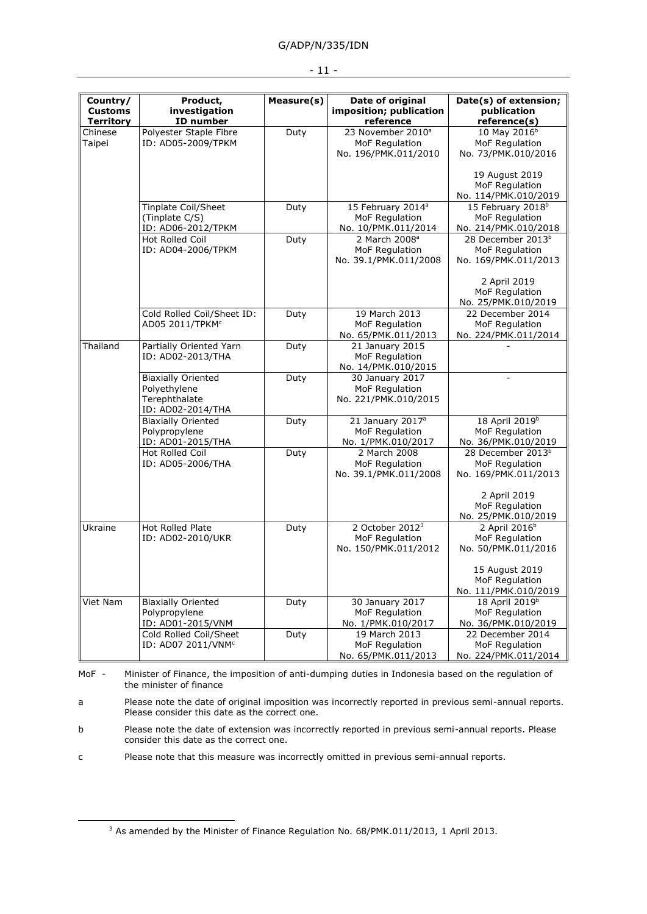| Country/<br><b>Customs</b><br><b>Territory</b> | Product,<br>investigation<br>ID number       | Measure(s) | Date of original<br>imposition; publication<br>reference | Date(s) of extension;<br>publication<br>reference(s) |
|------------------------------------------------|----------------------------------------------|------------|----------------------------------------------------------|------------------------------------------------------|
| Chinese                                        | Polyester Staple Fibre                       | Duty       | 23 November 2010 <sup>a</sup>                            | 10 May 2016 <sup>b</sup>                             |
| Taipei                                         | ID: AD05-2009/TPKM                           |            | MoF Regulation                                           | MoF Regulation                                       |
|                                                |                                              |            | No. 196/PMK.011/2010                                     | No. 73/PMK.010/2016                                  |
|                                                |                                              |            |                                                          | 19 August 2019                                       |
|                                                |                                              |            |                                                          | MoF Regulation                                       |
|                                                |                                              |            |                                                          | No. 114/PMK.010/2019                                 |
|                                                | Tinplate Coil/Sheet                          | Duty       | 15 February 2014 <sup>a</sup>                            | 15 February 2018 <sup>b</sup>                        |
|                                                | (Tinplate C/S)<br>ID: AD06-2012/TPKM         |            | MoF Regulation<br>No. 10/PMK.011/2014                    | MoF Regulation<br>No. 214/PMK.010/2018               |
|                                                | Hot Rolled Coil                              | Duty       | 2 March 2008 <sup>a</sup>                                | 28 December 2013 <sup>b</sup>                        |
|                                                | ID: AD04-2006/TPKM                           |            | MoF Regulation                                           | MoF Regulation                                       |
|                                                |                                              |            | No. 39.1/PMK.011/2008                                    | No. 169/PMK.011/2013                                 |
|                                                |                                              |            |                                                          | 2 April 2019                                         |
|                                                |                                              |            |                                                          | MoF Regulation<br>No. 25/PMK.010/2019                |
|                                                | Cold Rolled Coil/Sheet ID:                   | Duty       | 19 March 2013                                            | 22 December 2014                                     |
|                                                | AD05 2011/TPKM <sup>c</sup>                  |            | MoF Regulation                                           | MoF Regulation                                       |
|                                                |                                              |            | No. 65/PMK.011/2013                                      | No. 224/PMK.011/2014                                 |
| Thailand                                       | Partially Oriented Yarn<br>ID: AD02-2013/THA | Duty       | 21 January 2015<br>MoF Regulation                        |                                                      |
|                                                |                                              |            | No. 14/PMK.010/2015                                      |                                                      |
|                                                | <b>Biaxially Oriented</b>                    | Duty       | 30 January 2017                                          | $\mathbf{r}$                                         |
|                                                | Polyethylene                                 |            | MoF Regulation                                           |                                                      |
|                                                | Terephthalate                                |            | No. 221/PMK.010/2015                                     |                                                      |
|                                                | ID: AD02-2014/THA                            |            |                                                          |                                                      |
|                                                | <b>Biaxially Oriented</b>                    | Duty       | 21 January 2017 <sup>a</sup>                             | 18 April 2019 <sup>b</sup>                           |
|                                                | Polypropylene                                |            | MoF Regulation                                           | MoF Regulation                                       |
|                                                | ID: AD01-2015/THA                            |            | No. 1/PMK.010/2017                                       | No. 36/PMK.010/2019                                  |
|                                                | Hot Rolled Coil<br>ID: AD05-2006/THA         | Duty       | 2 March 2008<br>MoF Regulation                           | 28 December 2013 <sup>b</sup><br>MoF Regulation      |
|                                                |                                              |            | No. 39.1/PMK.011/2008                                    | No. 169/PMK.011/2013                                 |
|                                                |                                              |            |                                                          |                                                      |
|                                                |                                              |            |                                                          | 2 April 2019                                         |
|                                                |                                              |            |                                                          | MoF Regulation                                       |
|                                                |                                              |            |                                                          | No. 25/PMK.010/2019                                  |
| Ukraine                                        | Hot Rolled Plate                             | Duty       | 2 October 2012 <sup>3</sup>                              | 2 April 2016 <sup>b</sup>                            |
|                                                | ID: AD02-2010/UKR                            |            | MoF Regulation                                           | MoF Regulation                                       |
|                                                |                                              |            | No. 150/PMK.011/2012                                     | No. 50/PMK.011/2016                                  |
|                                                |                                              |            |                                                          | 15 August 2019                                       |
|                                                |                                              |            |                                                          | MoF Regulation                                       |
|                                                |                                              |            |                                                          | No. 111/PMK.010/2019                                 |
| Viet Nam                                       | <b>Biaxially Oriented</b><br>Polypropylene   | Duty       | 30 January 2017<br>MoF Regulation                        | 18 April 2019 <sup>b</sup><br>MoF Regulation         |
|                                                | ID: AD01-2015/VNM                            |            | No. 1/PMK.010/2017                                       | No. 36/PMK.010/2019                                  |
|                                                | Cold Rolled Coil/Sheet                       | Duty       | 19 March 2013                                            | 22 December 2014                                     |
|                                                | ID: AD07 2011/VNM <sup>c</sup>               |            | MoF Regulation                                           | MoF Regulation                                       |
|                                                |                                              |            | No. 65/PMK.011/2013                                      | No. 224/PMK.011/2014                                 |

- 11 -

MoF - Minister of Finance, the imposition of anti-dumping duties in Indonesia based on the regulation of the minister of finance

a Please note the date of original imposition was incorrectly reported in previous semi-annual reports. Please consider this date as the correct one.

b Please note the date of extension was incorrectly reported in previous semi-annual reports. Please consider this date as the correct one.

c Please note that this measure was incorrectly omitted in previous semi-annual reports.

<sup>&</sup>lt;sup>3</sup> As amended by the Minister of Finance Regulation No. 68/PMK.011/2013, 1 April 2013.